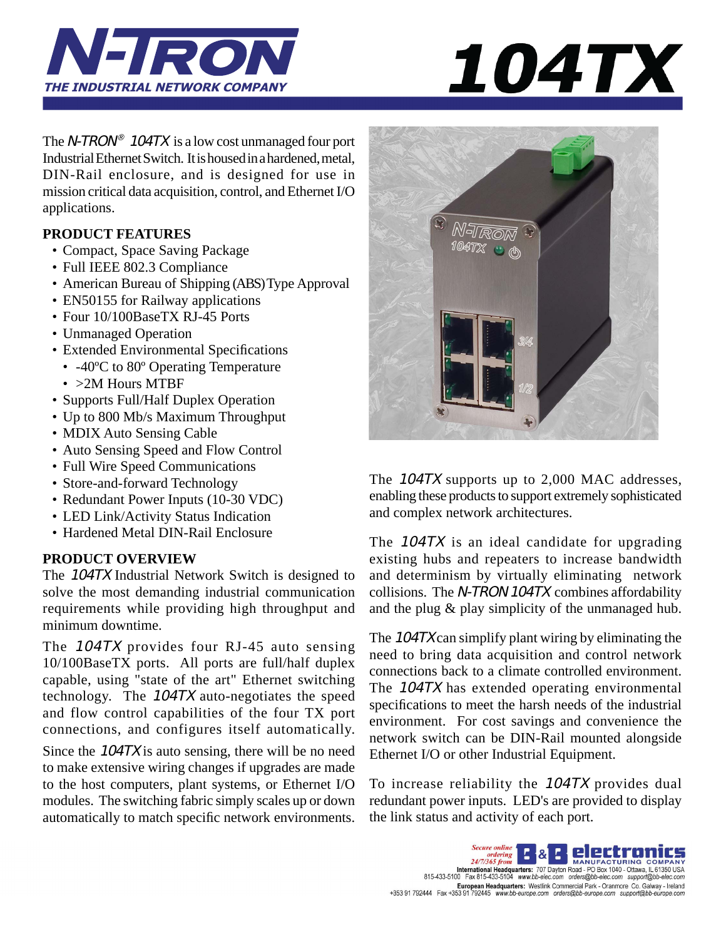



The N-TRON<sup>®</sup> 104TX is a low cost unmanaged four port Industrial Ethernet Switch. It is housed in a hardened, metal, DIN-Rail enclosure, and is designed for use in mission critical data acquisition, control, and Ethernet I/O applications.

## **PRODUCT FEATURES**

- Compact, Space Saving Package
- Full IEEE 802.3 Compliance
- American Bureau of Shipping (ABS) Type Approval
- EN50155 for Railway applications
- Four 10/100BaseTX RJ-45 Ports
- Unmanaged Operation
- Extended Environmental Specifications
- -40<sup>o</sup>C to 80<sup>o</sup> Operating Temperature
- > 2M Hours MTBF
- Supports Full/Half Duplex Operation
- Up to 800 Mb/s Maximum Throughput
- MDIX Auto Sensing Cable
- Auto Sensing Speed and Flow Control
- Full Wire Speed Communications
- Store-and-forward Technology
- Redundant Power Inputs (10-30 VDC)
- LED Link/Activity Status Indication
- Hardened Metal DIN-Rail Enclosure

# **PRODUCT OVERVIEW**

The 104TX Industrial Network Switch is designed to solve the most demanding industrial communication requirements while providing high throughput and minimum downtime.

The 104TX provides four RJ-45 auto sensing 10/100BaseTX ports. All ports are full/half duplex capable, using "state of the art" Ethernet switching technology. The 104TX auto-negotiates the speed and flow control capabilities of the four TX port connections, and configures itself automatically.

Since the 104TX is auto sensing, there will be no need to make extensive wiring changes if upgrades are made to the host computers, plant systems, or Ethernet I/O modules. The switching fabric simply scales up or down automatically to match specific network environments.



The 104TX supports up to 2,000 MAC addresses, enabling these products to support extremely sophisticated and complex network architectures.

The 104TX is an ideal candidate for upgrading existing hubs and repeaters to increase bandwidth and determinism by virtually eliminating network collisions. The N-TRON 104TX combines affordability and the plug & play simplicity of the unmanaged hub.

The 104TX can simplify plant wiring by eliminating the need to bring data acquisition and control network connections back to a climate controlled environment. The 104TX has extended operating environmental specifications to meet the harsh needs of the industrial environment. For cost savings and convenience the network switch can be DIN-Rail mounted alongside Ethernet I/O or other Industrial Equipment.

To increase reliability the 104TX provides dual redundant power inputs. LED's are provided to display the link status and activity of each port.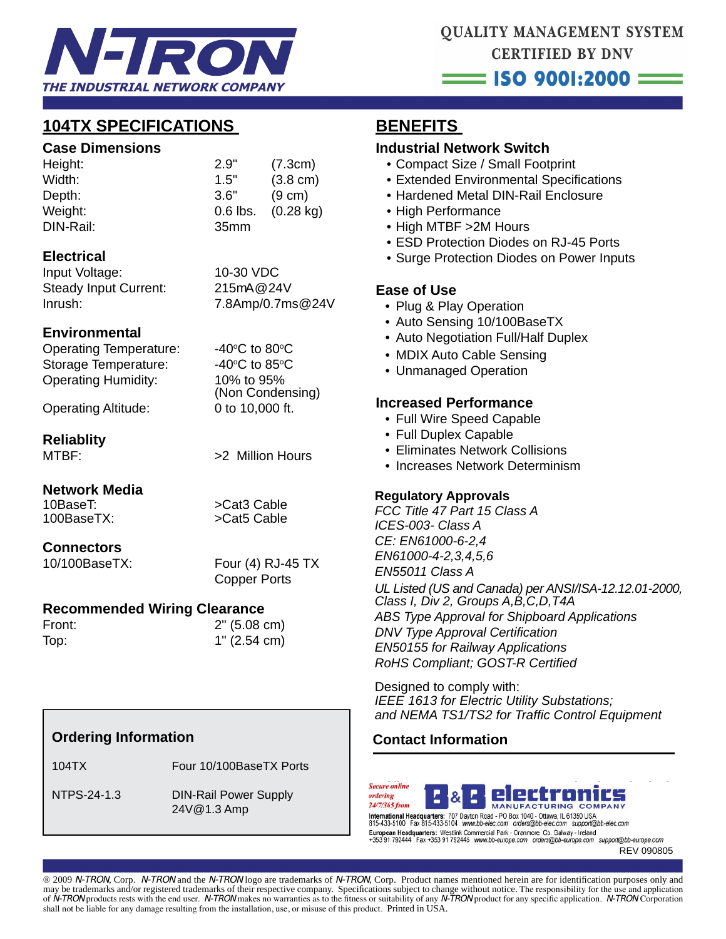

# **104TX SPECIFICATIONS**

#### **Case Dimensions**

| Height:   | 2.9"             | (7.3cm)             |
|-----------|------------------|---------------------|
| Width:    | 1.5"             | $(3.8 \text{ cm})$  |
| Depth:    | 3.6"             | $(9 \text{ cm})$    |
| Weight:   | $0.6$ lbs.       | $(0.28 \text{ kg})$ |
| DIN-Rail: | 35 <sub>mm</sub> |                     |
|           |                  |                     |

#### **Electrical**

Input Voltage: 10-30 VDC Steady Input Current: 215mA@24V Inrush: 7.8Amp/0.7ms@24V

## **Environmental**

Operating Temperature: Storage Temperature: Operating Humidity: 10% to 95%

C to 80 $\rm ^{\circ}$ C C to 85 $\circ$ C (Non Condensing)

Operating Altitude: 0 to 10,000 ft.

## **Reliablity**

MTBF:  $>2$  Million Hours

#### **Network Media**

10BaseT: >Cat3 Cable 100BaseTX: >Cat5 Cable

## **Connectors**

10/100BaseTX: Four (4) RJ-45 TX Copper Ports

## **Recommended Wiring Clearance**

Front: 2" (5.08 cm) Top: 1" (2.54 cm)

# **Ordering Information**

104TX Four 10/100BaseTX Ports

 NTPS-24-1.3 DIN-Rail Power Supply 24V@1.3 Amp

# **BENEFITS**

#### **Industrial Network Switch**

- Compact Size / Small Footprint
- Extended Environmental Specifications
- Hardened Metal DIN-Rail Enclosure
- High Performance
- High MTBF >2M Hours
- ESD Protection Diodes on RJ-45 Ports
- Surge Protection Diodes on Power Inputs

## **Ease of Use**

- Plug & Play Operation
- Auto Sensing 10/100BaseTX
- Auto Negotiation Full/Half Duplex
- MDIX Auto Cable Sensing
- Unmanaged Operation

#### **Increased Performance**

- Full Wire Speed Capable
- Full Duplex Capable
- Eliminates Network Collisions
- Increases Network Determinism

## **Regulatory Approvals**

*FCC Title 47 Part 15 Class A ICES-003- Class A CE: EN61000-6-2,4 EN61000-4-2,3,4,5,6 EN55011 Class A UL Listed (US and Canada) per ANSI/ISA-12.12.01-2000, Class I, Div 2, Groups A,B,C,D,T4A ABS Type Approval for Shipboard Applications DNV Type Approval Certification EN50155 for Railway Applications RoHS Compliant; GOST-R Certified* 

Designed to comply with: *IEEE 1613 for Electric Utility Substations; and NEMA TS1/TS2 for Traffi c Control Equipment*

# **Contact Information**





**FAX: (2503) FM 642-6353 FAX: (2503) FAX: (2503) FAX: 442-6353 FAX: 442-6353 FAX: (2503) FAX: (2503) FAX: (2503) FAX: (2503) FAX: (2503) FAX: (2503) FAX: (2503) FAX: (2503) FAX: (2503) FAX: (2503) FAX: (2503) FAX: (2503) F** 15-433-5100 Fax 815-433-5104 www.bb-elec.com European Headquarters: Westlink Commercial Park - Oranmore Co. Galway - Ireland<br>+353 91 792444 Fax +353 91 792445 www.bb-europe.com orders@bb-europe.com support@bb-europe.com

® 2009 N-TRON, Corp. N-TRON and the N-TRON logo are trademarks of N-TRON, Corp. Product names mentioned herein are for identification purposes only and may be trademarks and/or registered trademarks of their respective company. Specifications subject to change without notice. The responsibility for the use and application of N-TRON products rests with the end user. N-TRON makes no warranties as to the fitness or suitability of any N-TRON product for any specific application. N-TRON Corporation shall not be liable for any damage resulting from the installation, use, or misuse of this product. Printed in USA.

REV 090805